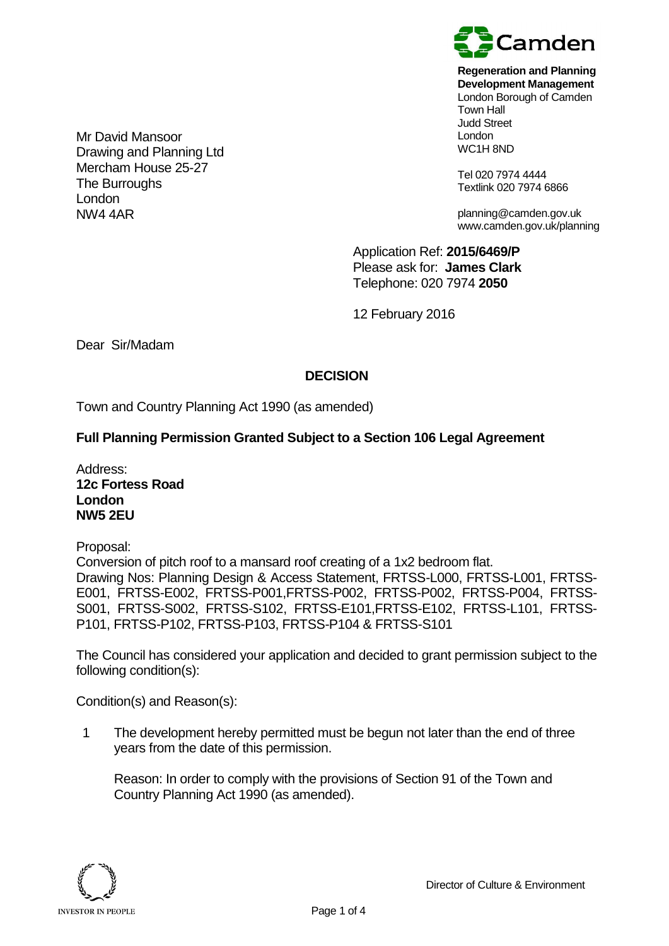

**Regeneration and Planning Development Management**

London Borough of Camden Town Hall Judd Street London WC1H 8ND

Tel 020 7974 4444 Textlink 020 7974 6866

planning@camden.gov.uk www.camden.gov.uk/planning

Application Ref: **2015/6469/P** Please ask for: **James Clark** Telephone: 020 7974 **2050**

12 February 2016

Dear Sir/Madam

Mr David Mansoor

The Burroughs

London NW4 4AR

Drawing and Planning Ltd Mercham House 25-27

## **DECISION**

Town and Country Planning Act 1990 (as amended)

## **Full Planning Permission Granted Subject to a Section 106 Legal Agreement**

Address: **12c Fortess Road London NW5 2EU**

Proposal:

Conversion of pitch roof to a mansard roof creating of a 1x2 bedroom flat. Drawing Nos: Planning Design & Access Statement, FRTSS-L000, FRTSS-L001, FRTSS-E001, FRTSS-E002, FRTSS-P001,FRTSS-P002, FRTSS-P002, FRTSS-P004, FRTSS-S001, FRTSS-S002, FRTSS-S102, FRTSS-E101,FRTSS-E102, FRTSS-L101, FRTSS-P101, FRTSS-P102, FRTSS-P103, FRTSS-P104 & FRTSS-S101

The Council has considered your application and decided to grant permission subject to the following condition(s):

Condition(s) and Reason(s):

1 The development hereby permitted must be begun not later than the end of three years from the date of this permission.

Reason: In order to comply with the provisions of Section 91 of the Town and Country Planning Act 1990 (as amended).

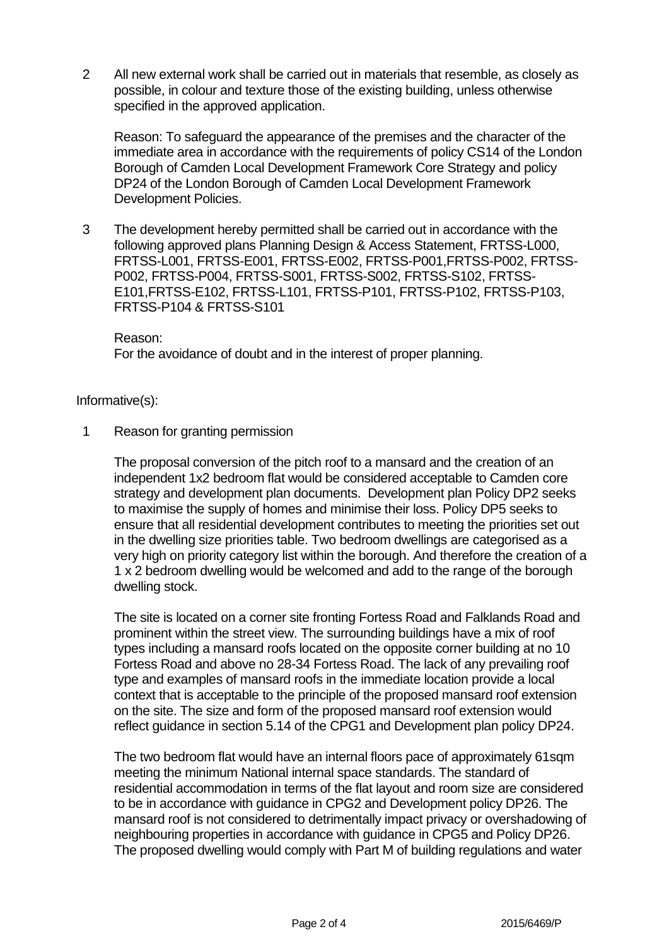2 All new external work shall be carried out in materials that resemble, as closely as possible, in colour and texture those of the existing building, unless otherwise specified in the approved application.

Reason: To safeguard the appearance of the premises and the character of the immediate area in accordance with the requirements of policy CS14 of the London Borough of Camden Local Development Framework Core Strategy and policy DP24 of the London Borough of Camden Local Development Framework Development Policies.

3 The development hereby permitted shall be carried out in accordance with the following approved plans Planning Design & Access Statement, FRTSS-L000, FRTSS-L001, FRTSS-E001, FRTSS-E002, FRTSS-P001,FRTSS-P002, FRTSS-P002, FRTSS-P004, FRTSS-S001, FRTSS-S002, FRTSS-S102, FRTSS-E101,FRTSS-E102, FRTSS-L101, FRTSS-P101, FRTSS-P102, FRTSS-P103, FRTSS-P104 & FRTSS-S101

## Reason:

For the avoidance of doubt and in the interest of proper planning.

## Informative(s):

1 Reason for granting permission

The proposal conversion of the pitch roof to a mansard and the creation of an independent 1x2 bedroom flat would be considered acceptable to Camden core strategy and development plan documents. Development plan Policy DP2 seeks to maximise the supply of homes and minimise their loss. Policy DP5 seeks to ensure that all residential development contributes to meeting the priorities set out in the dwelling size priorities table. Two bedroom dwellings are categorised as a very high on priority category list within the borough. And therefore the creation of a 1 x 2 bedroom dwelling would be welcomed and add to the range of the borough dwelling stock.

The site is located on a corner site fronting Fortess Road and Falklands Road and prominent within the street view. The surrounding buildings have a mix of roof types including a mansard roofs located on the opposite corner building at no 10 Fortess Road and above no 28-34 Fortess Road. The lack of any prevailing roof type and examples of mansard roofs in the immediate location provide a local context that is acceptable to the principle of the proposed mansard roof extension on the site. The size and form of the proposed mansard roof extension would reflect guidance in section 5.14 of the CPG1 and Development plan policy DP24.

The two bedroom flat would have an internal floors pace of approximately 61sqm meeting the minimum National internal space standards. The standard of residential accommodation in terms of the flat layout and room size are considered to be in accordance with guidance in CPG2 and Development policy DP26. The mansard roof is not considered to detrimentally impact privacy or overshadowing of neighbouring properties in accordance with guidance in CPG5 and Policy DP26. The proposed dwelling would comply with Part M of building regulations and water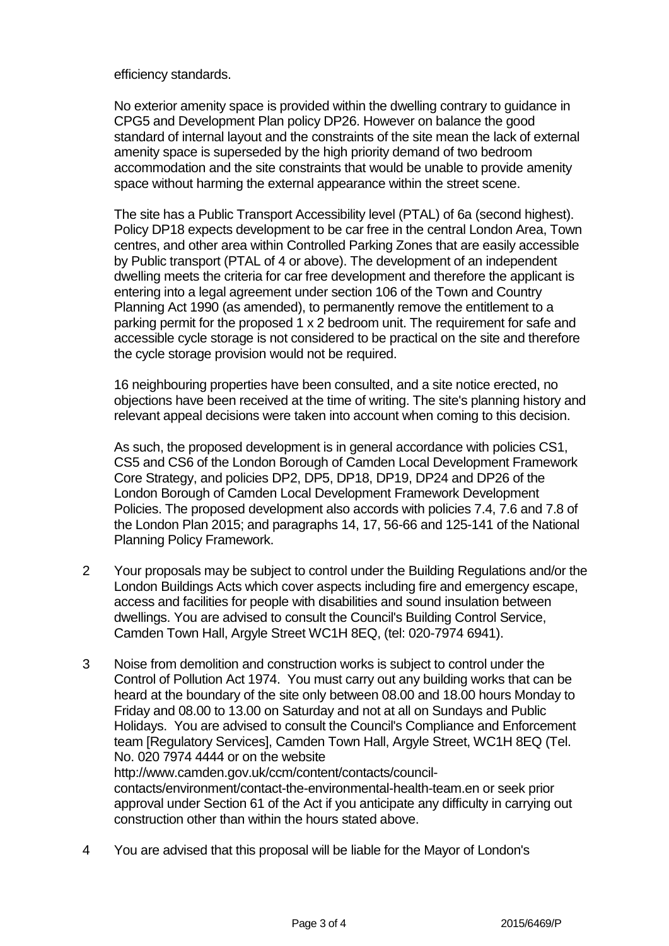efficiency standards.

No exterior amenity space is provided within the dwelling contrary to guidance in CPG5 and Development Plan policy DP26. However on balance the good standard of internal layout and the constraints of the site mean the lack of external amenity space is superseded by the high priority demand of two bedroom accommodation and the site constraints that would be unable to provide amenity space without harming the external appearance within the street scene.

The site has a Public Transport Accessibility level (PTAL) of 6a (second highest). Policy DP18 expects development to be car free in the central London Area, Town centres, and other area within Controlled Parking Zones that are easily accessible by Public transport (PTAL of 4 or above). The development of an independent dwelling meets the criteria for car free development and therefore the applicant is entering into a legal agreement under section 106 of the Town and Country Planning Act 1990 (as amended), to permanently remove the entitlement to a parking permit for the proposed 1 x 2 bedroom unit. The requirement for safe and accessible cycle storage is not considered to be practical on the site and therefore the cycle storage provision would not be required.

16 neighbouring properties have been consulted, and a site notice erected, no objections have been received at the time of writing. The site's planning history and relevant appeal decisions were taken into account when coming to this decision.

As such, the proposed development is in general accordance with policies CS1, CS5 and CS6 of the London Borough of Camden Local Development Framework Core Strategy, and policies DP2, DP5, DP18, DP19, DP24 and DP26 of the London Borough of Camden Local Development Framework Development Policies. The proposed development also accords with policies 7.4, 7.6 and 7.8 of the London Plan 2015; and paragraphs 14, 17, 56-66 and 125-141 of the National Planning Policy Framework.

- 2 Your proposals may be subject to control under the Building Regulations and/or the London Buildings Acts which cover aspects including fire and emergency escape, access and facilities for people with disabilities and sound insulation between dwellings. You are advised to consult the Council's Building Control Service, Camden Town Hall, Argyle Street WC1H 8EQ, (tel: 020-7974 6941).
- 3 Noise from demolition and construction works is subject to control under the Control of Pollution Act 1974. You must carry out any building works that can be heard at the boundary of the site only between 08.00 and 18.00 hours Monday to Friday and 08.00 to 13.00 on Saturday and not at all on Sundays and Public Holidays. You are advised to consult the Council's Compliance and Enforcement team [Regulatory Services], Camden Town Hall, Argyle Street, WC1H 8EQ (Tel. No. 020 7974 4444 or on the website http://www.camden.gov.uk/ccm/content/contacts/council-

contacts/environment/contact-the-environmental-health-team.en or seek prior approval under Section 61 of the Act if you anticipate any difficulty in carrying out construction other than within the hours stated above.

4 You are advised that this proposal will be liable for the Mayor of London's